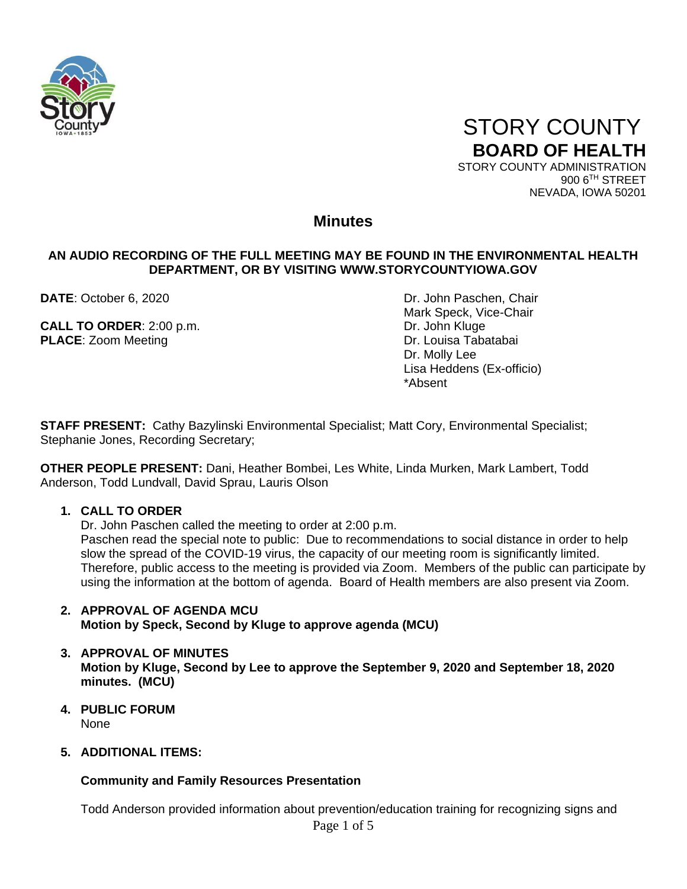

 STORY COUNTY **BOARD OF HEALTH** STORY COUNTY ADMINISTRATION

900 6TH STREET NEVADA, IOWA 50201

### **Minutes**

#### **AN AUDIO RECORDING OF THE FULL MEETING MAY BE FOUND IN THE ENVIRONMENTAL HEALTH DEPARTMENT, OR BY VISITING WWW.STORYCOUNTYIOWA.GOV**

**CALL TO ORDER:** 2:00 p.m. Dr. John Kluge **PLACE:** Zoom Meeting **Dr. Louisa Tabatabai** 

**DATE**: October 6, 2020 **DATE:** October 6, 2020 Mark Speck, Vice-Chair Dr. Molly Lee Lisa Heddens (Ex-officio) \*Absent

**STAFF PRESENT:** Cathy Bazylinski Environmental Specialist; Matt Cory, Environmental Specialist; Stephanie Jones, Recording Secretary;

**OTHER PEOPLE PRESENT:** Dani, Heather Bombei, Les White, Linda Murken, Mark Lambert, Todd Anderson, Todd Lundvall, David Sprau, Lauris Olson

#### **1. CALL TO ORDER**

Dr. John Paschen called the meeting to order at 2:00 p.m. Paschen read the special note to public: Due to recommendations to social distance in order to help slow the spread of the COVID-19 virus, the capacity of our meeting room is significantly limited. Therefore, public access to the meeting is provided via Zoom. Members of the public can participate by using the information at the bottom of agenda. Board of Health members are also present via Zoom.

#### **2. APPROVAL OF AGENDA MCU Motion by Speck, Second by Kluge to approve agenda (MCU)**

- **3. APPROVAL OF MINUTES Motion by Kluge, Second by Lee to approve the September 9, 2020 and September 18, 2020 minutes. (MCU)**
- **4. PUBLIC FORUM** None

#### **5. ADDITIONAL ITEMS:**

#### **Community and Family Resources Presentation**

Todd Anderson provided information about prevention/education training for recognizing signs and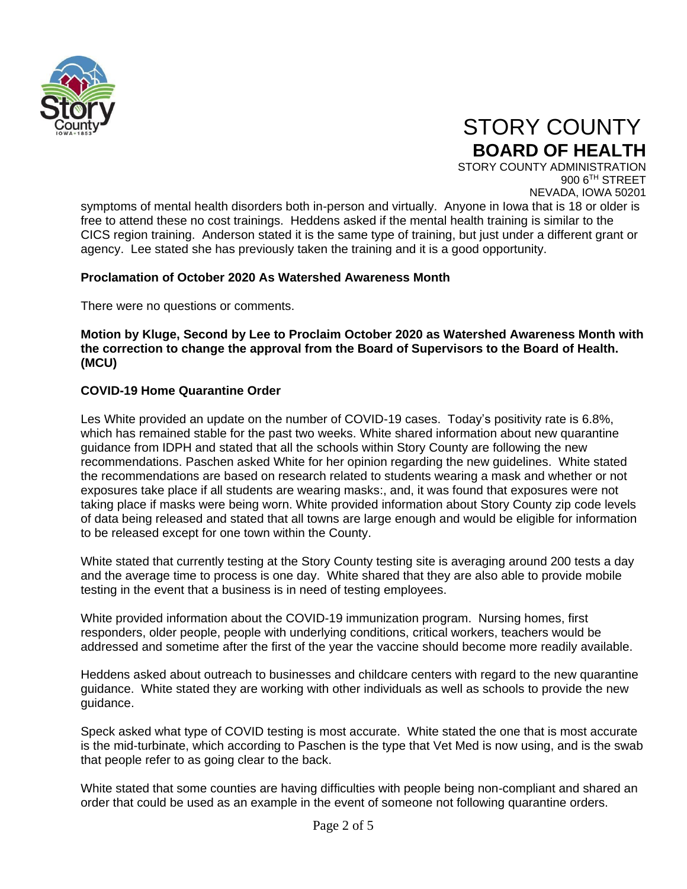

# STORY COUNTY **BOARD OF HEALTH**

STORY COUNTY ADMINISTRATION 900 6TH STREET NEVADA, IOWA 50201

symptoms of mental health disorders both in-person and virtually. Anyone in Iowa that is 18 or older is free to attend these no cost trainings. Heddens asked if the mental health training is similar to the CICS region training. Anderson stated it is the same type of training, but just under a different grant or agency. Lee stated she has previously taken the training and it is a good opportunity.

#### **Proclamation of October 2020 As Watershed Awareness Month**

There were no questions or comments.

#### **Motion by Kluge, Second by Lee to Proclaim October 2020 as Watershed Awareness Month with the correction to change the approval from the Board of Supervisors to the Board of Health. (MCU)**

#### **COVID-19 Home Quarantine Order**

Les White provided an update on the number of COVID-19 cases. Today's positivity rate is 6.8%, which has remained stable for the past two weeks. White shared information about new quarantine guidance from IDPH and stated that all the schools within Story County are following the new recommendations. Paschen asked White for her opinion regarding the new guidelines. White stated the recommendations are based on research related to students wearing a mask and whether or not exposures take place if all students are wearing masks:, and, it was found that exposures were not taking place if masks were being worn. White provided information about Story County zip code levels of data being released and stated that all towns are large enough and would be eligible for information to be released except for one town within the County.

White stated that currently testing at the Story County testing site is averaging around 200 tests a day and the average time to process is one day. White shared that they are also able to provide mobile testing in the event that a business is in need of testing employees.

White provided information about the COVID-19 immunization program. Nursing homes, first responders, older people, people with underlying conditions, critical workers, teachers would be addressed and sometime after the first of the year the vaccine should become more readily available.

Heddens asked about outreach to businesses and childcare centers with regard to the new quarantine guidance. White stated they are working with other individuals as well as schools to provide the new guidance.

Speck asked what type of COVID testing is most accurate. White stated the one that is most accurate is the mid-turbinate, which according to Paschen is the type that Vet Med is now using, and is the swab that people refer to as going clear to the back.

White stated that some counties are having difficulties with people being non-compliant and shared an order that could be used as an example in the event of someone not following quarantine orders.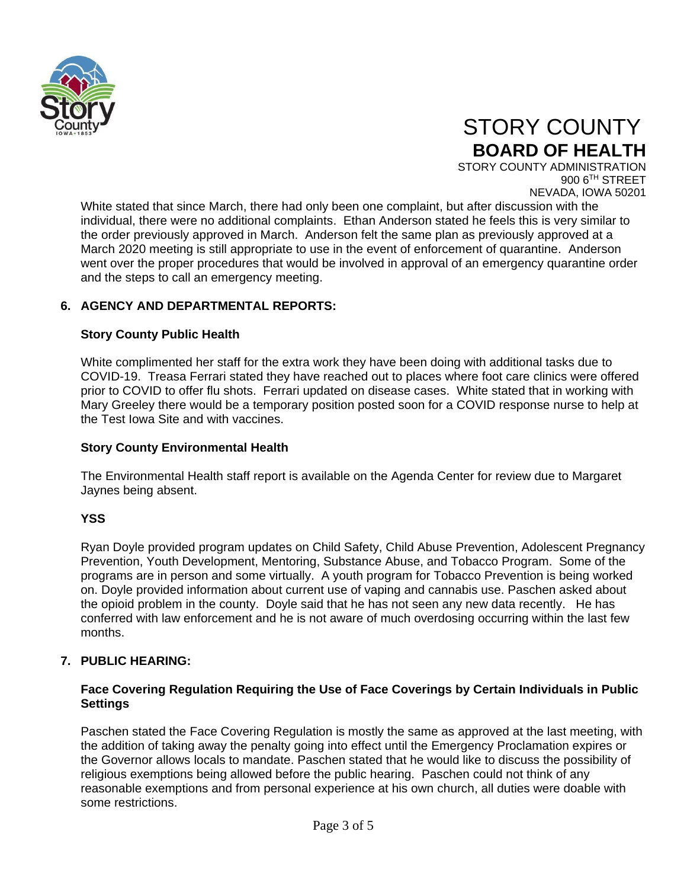

# STORY COUNTY **BOARD OF HEALTH**

STORY COUNTY ADMINISTRATION 900 6TH STREET NEVADA, IOWA 50201

White stated that since March, there had only been one complaint, but after discussion with the individual, there were no additional complaints. Ethan Anderson stated he feels this is very similar to the order previously approved in March. Anderson felt the same plan as previously approved at a March 2020 meeting is still appropriate to use in the event of enforcement of quarantine. Anderson went over the proper procedures that would be involved in approval of an emergency quarantine order and the steps to call an emergency meeting.

#### **6. AGENCY AND DEPARTMENTAL REPORTS:**

#### **Story County Public Health**

White complimented her staff for the extra work they have been doing with additional tasks due to COVID-19. Treasa Ferrari stated they have reached out to places where foot care clinics were offered prior to COVID to offer flu shots. Ferrari updated on disease cases. White stated that in working with Mary Greeley there would be a temporary position posted soon for a COVID response nurse to help at the Test Iowa Site and with vaccines.

#### **Story County Environmental Health**

The Environmental Health staff report is available on the Agenda Center for review due to Margaret Jaynes being absent.

#### **YSS**

Ryan Doyle provided program updates on Child Safety, Child Abuse Prevention, Adolescent Pregnancy Prevention, Youth Development, Mentoring, Substance Abuse, and Tobacco Program. Some of the programs are in person and some virtually. A youth program for Tobacco Prevention is being worked on. Doyle provided information about current use of vaping and cannabis use. Paschen asked about the opioid problem in the county. Doyle said that he has not seen any new data recently. He has conferred with law enforcement and he is not aware of much overdosing occurring within the last few months.

#### **7. PUBLIC HEARING:**

#### **Face Covering Regulation Requiring the Use of Face Coverings by Certain Individuals in Public Settings**

Paschen stated the Face Covering Regulation is mostly the same as approved at the last meeting, with the addition of taking away the penalty going into effect until the Emergency Proclamation expires or the Governor allows locals to mandate. Paschen stated that he would like to discuss the possibility of religious exemptions being allowed before the public hearing. Paschen could not think of any reasonable exemptions and from personal experience at his own church, all duties were doable with some restrictions.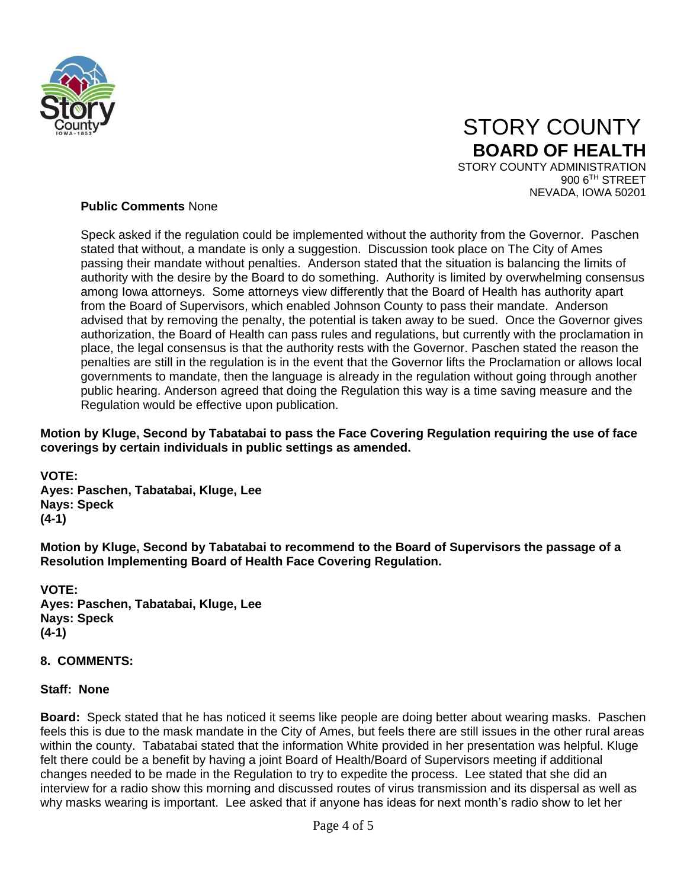

### STORY COUNTY **BOARD OF HEALTH** STORY COUNTY ADMINISTRATION

900 6TH STREET NEVADA, IOWA 50201

#### **Public Comments** None

Speck asked if the regulation could be implemented without the authority from the Governor. Paschen stated that without, a mandate is only a suggestion. Discussion took place on The City of Ames passing their mandate without penalties. Anderson stated that the situation is balancing the limits of authority with the desire by the Board to do something. Authority is limited by overwhelming consensus among Iowa attorneys. Some attorneys view differently that the Board of Health has authority apart from the Board of Supervisors, which enabled Johnson County to pass their mandate. Anderson advised that by removing the penalty, the potential is taken away to be sued. Once the Governor gives authorization, the Board of Health can pass rules and regulations, but currently with the proclamation in place, the legal consensus is that the authority rests with the Governor. Paschen stated the reason the penalties are still in the regulation is in the event that the Governor lifts the Proclamation or allows local governments to mandate, then the language is already in the regulation without going through another public hearing. Anderson agreed that doing the Regulation this way is a time saving measure and the Regulation would be effective upon publication.

#### **Motion by Kluge, Second by Tabatabai to pass the Face Covering Regulation requiring the use of face coverings by certain individuals in public settings as amended.**

**VOTE: Ayes: Paschen, Tabatabai, Kluge, Lee Nays: Speck**

**(4-1)**

**Motion by Kluge, Second by Tabatabai to recommend to the Board of Supervisors the passage of a Resolution Implementing Board of Health Face Covering Regulation.**

**VOTE: Ayes: Paschen, Tabatabai, Kluge, Lee Nays: Speck (4-1)**

#### **8. COMMENTS:**

#### **Staff: None**

**Board:** Speck stated that he has noticed it seems like people are doing better about wearing masks. Paschen feels this is due to the mask mandate in the City of Ames, but feels there are still issues in the other rural areas within the county. Tabatabai stated that the information White provided in her presentation was helpful. Kluge felt there could be a benefit by having a joint Board of Health/Board of Supervisors meeting if additional changes needed to be made in the Regulation to try to expedite the process. Lee stated that she did an interview for a radio show this morning and discussed routes of virus transmission and its dispersal as well as why masks wearing is important. Lee asked that if anyone has ideas for next month's radio show to let her